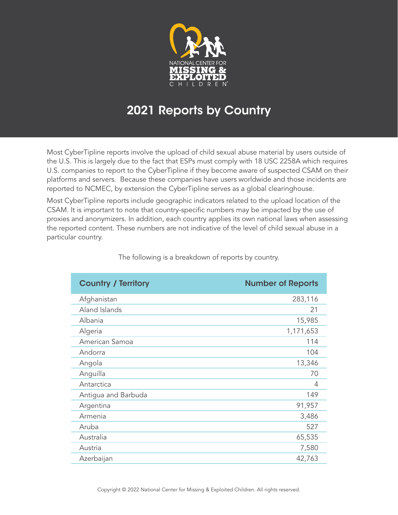

## 2021 Reports by Country

Most CyberTipline reports involve the upload of child sexual abuse material by users outside of the U.S. This is largely due to the fact that ESPs must comply with 18 USC 2258A which requires U.S. companies to report to the CyberTipline if they become aware of suspected CSAM on their platforms and servers. Because these companies have users worldwide and those incidents are reported to NCMEC, by extension the CyberTipline serves as a global clearinghouse.

Most CyberTipline reports include geographic indicators related to the upload location of the CSAM. It is important to note that country-specific numbers may be impacted by the use of proxies and anonymizers. In addition, each country applies its own national laws when assessing the reported content. These numbers are not indicative of the level of child sexual abuse in a particular country.

| <b>Country / Territory</b> | <b>Number of Reports</b> |
|----------------------------|--------------------------|
| Afghanistan                | 283,116                  |
| Aland Islands              | 21                       |
| Albania                    | 15,985                   |
| Algeria                    | 1,171,653                |
| American Samoa             | 114                      |
| Andorra                    | 104                      |
| Angola                     | 13,346                   |
| Anguilla                   | 70                       |
| Antarctica                 | 4                        |
| Antigua and Barbuda        | 149                      |
| Argentina                  | 91,957                   |
| Armenia                    | 3,486                    |
| Aruba                      | 527                      |
| Australia                  | 65,535                   |
| Austria                    | 7,580                    |
| Azerbaijan                 | 42,763                   |

The following is a breakdown of reports by country.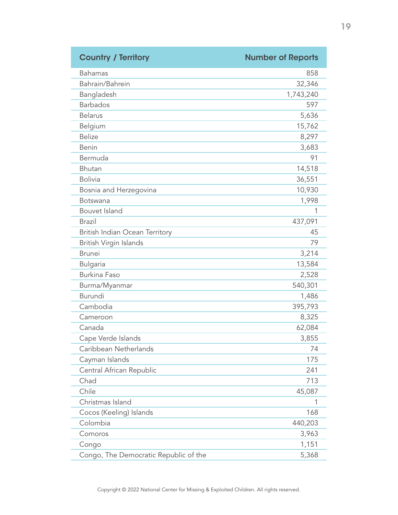| <b>Country / Territory</b>            | <b>Number of Reports</b> |
|---------------------------------------|--------------------------|
| <b>Bahamas</b>                        | 858                      |
| Bahrain/Bahrein                       | 32,346                   |
| Bangladesh                            | 1,743,240                |
| <b>Barbados</b>                       | 597                      |
| <b>Belarus</b>                        | 5,636                    |
| Belgium                               | 15,762                   |
| <b>Belize</b>                         | 8,297                    |
| Benin                                 | 3,683                    |
| Bermuda                               | 91                       |
| Bhutan                                | 14,518                   |
| <b>Bolivia</b>                        | 36,551                   |
| Bosnia and Herzegovina                | 10,930                   |
| Botswana                              | 1,998                    |
| Bouvet Island                         | 1                        |
| <b>Brazil</b>                         | 437,091                  |
| British Indian Ocean Territory        | 45                       |
| British Virgin Islands                | 79                       |
| <b>Brunei</b>                         | 3,214                    |
| <b>Bulgaria</b>                       | 13,584                   |
| <b>Burkina Faso</b>                   | 2,528                    |
| Burma/Myanmar                         | 540,301                  |
| <b>Burundi</b>                        | 1,486                    |
| Cambodia                              | 395,793                  |
| Cameroon                              | 8,325                    |
| Canada                                | 62,084                   |
| Cape Verde Islands                    | 3,855                    |
| Caribbean Netherlands                 | 74                       |
| Cayman Islands                        | 175                      |
| Central African Republic              | 241                      |
| Chad                                  | 713                      |
| Chile                                 | 45,087                   |
| Christmas Island                      | 1                        |
| Cocos (Keeling) Islands               | 168                      |
| Colombia                              | 440,203                  |
| Comoros                               | 3,963                    |
| Congo                                 | 1,151                    |
| Congo, The Democratic Republic of the | 5,368                    |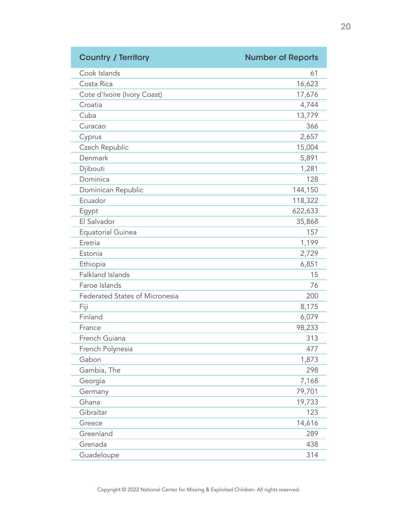| <b>Country / Territory</b>            | <b>Number of Reports</b> |
|---------------------------------------|--------------------------|
| Cook Islands                          | 61                       |
| Costa Rica                            | 16,623                   |
| Cote d'Ivoire (Ivory Coast)           | 17,676                   |
| Croatia                               | 4,744                    |
| Cuba                                  | 13,779                   |
| Curacao                               | 366                      |
| Cyprus                                | 2,657                    |
| Czech Republic                        | 15,004                   |
| Denmark                               | 5,891                    |
| Djibouti                              | 1,281                    |
| Dominica                              | 128                      |
| Dominican Republic                    | 144,150                  |
| Ecuador                               | 118,322                  |
| Egypt                                 | 622,633                  |
| El Salvador                           | 35,868                   |
| <b>Equatorial Guinea</b>              | 157                      |
| Eretria                               | 1,199                    |
| Estonia                               | 2,729                    |
| Ethiopia                              | 6,851                    |
| Falkland Islands                      | 15                       |
| Faroe Islands                         | 76                       |
| <b>Federated States of Micronesia</b> | 200                      |
| Fiji                                  | 8,175                    |
| Finland                               | 6,079                    |
| France                                | 98,233                   |
| French Guiana                         | 313                      |
| French Polynesia                      | 477                      |
| Gabon                                 | 1,873                    |
| Gambia, The                           | 298                      |
| Georgia                               | 7,168                    |
| Germany                               | 79,701                   |
| Ghana                                 | 19,733                   |
| Gibraltar                             | 123                      |
| Greece                                | 14,616                   |
| Greenland                             | 289                      |
| Grenada                               | 438                      |
| Guadeloupe                            | 314                      |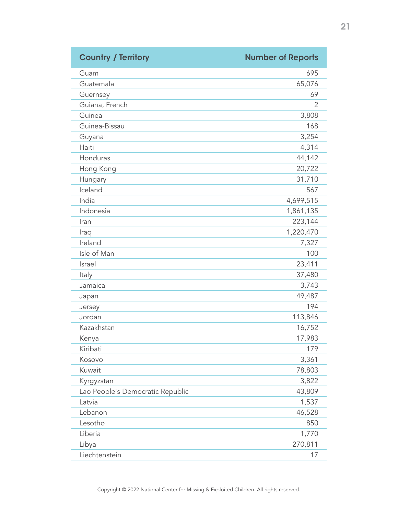| <b>Country / Territory</b>       | <b>Number of Reports</b> |
|----------------------------------|--------------------------|
| Guam                             | 695                      |
| Guatemala                        | 65,076                   |
| Guernsey                         | 69                       |
| Guiana, French                   | 2                        |
| Guinea                           | 3,808                    |
| Guinea-Bissau                    | 168                      |
| Guyana                           | 3,254                    |
| Haiti                            | 4,314                    |
| Honduras                         | 44,142                   |
| Hong Kong                        | 20,722                   |
| Hungary                          | 31,710                   |
| Iceland                          | 567                      |
| India                            | 4,699,515                |
| Indonesia                        | 1,861,135                |
| Iran                             | 223,144                  |
| Iraq                             | 1,220,470                |
| Ireland                          | 7,327                    |
| Isle of Man                      | 100                      |
| Israel                           | 23,411                   |
| Italy                            | 37,480                   |
| Jamaica                          | 3,743                    |
| Japan                            | 49,487                   |
| Jersey                           | 194                      |
| Jordan                           | 113,846                  |
| Kazakhstan                       | 16,752                   |
| Kenya                            | 17,983                   |
| Kiribati                         | 179                      |
| Kosovo                           | 3,361                    |
| Kuwait                           | 78,803                   |
| Kyrgyzstan                       | 3,822                    |
| Lao People's Democratic Republic | 43,809                   |
| Latvia                           | 1,537                    |
| Lebanon                          | 46,528                   |
| Lesotho                          | 850                      |
| Liberia                          | 1,770                    |
| Libya                            | 270,811                  |
| Liechtenstein                    | 17                       |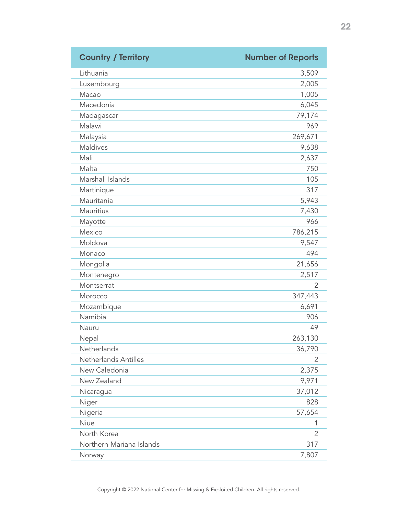| <b>Country / Territory</b> | <b>Number of Reports</b> |
|----------------------------|--------------------------|
| Lithuania                  | 3,509                    |
| Luxembourg                 | 2,005                    |
| Macao                      | 1,005                    |
| Macedonia                  | 6,045                    |
| Madagascar                 | 79,174                   |
| Malawi                     | 969                      |
| Malaysia                   | 269,671                  |
| Maldives                   | 9,638                    |
| Mali                       | 2,637                    |
| Malta                      | 750                      |
| Marshall Islands           | 105                      |
| Martinique                 | 317                      |
| Mauritania                 | 5,943                    |
| <b>Mauritius</b>           | 7,430                    |
| Mayotte                    | 966                      |
| Mexico                     | 786,215                  |
| Moldova                    | 9,547                    |
| Monaco                     | 494                      |
| Mongolia                   | 21,656                   |
| Montenegro                 | 2,517                    |
| Montserrat                 | 2                        |
| Morocco                    | 347,443                  |
| Mozambique                 | 6,691                    |
| Namibia                    | 906                      |
| Nauru                      | 49                       |
| Nepal                      | 263,130                  |
| Netherlands                | 36,790                   |
| Netherlands Antilles       | 2                        |
| New Caledonia              | 2,375                    |
| New Zealand                | 9,971                    |
| Nicaragua                  | 37,012                   |
| Niger                      | 828                      |
| Nigeria                    | 57,654                   |
| Niue                       | 1                        |
| North Korea                | 2                        |
| Northern Mariana Islands   | 317                      |
| Norway                     | 7,807                    |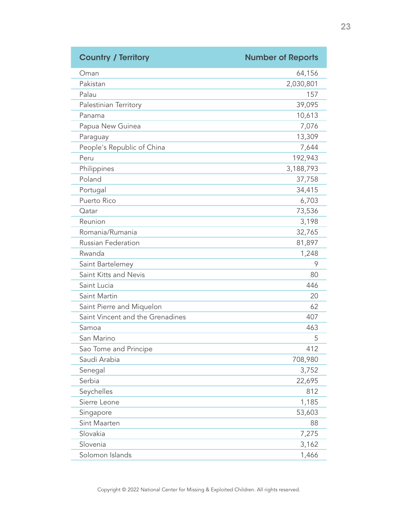| <b>Country / Territory</b>       | <b>Number of Reports</b> |
|----------------------------------|--------------------------|
| Oman                             | 64,156                   |
| Pakistan                         | 2,030,801                |
| Palau                            | 157                      |
| Palestinian Territory            | 39,095                   |
| Panama                           | 10,613                   |
| Papua New Guinea                 | 7,076                    |
| Paraguay                         | 13,309                   |
| People's Republic of China       | 7,644                    |
| Peru                             | 192,943                  |
| Philippines                      | 3,188,793                |
| Poland                           | 37,758                   |
| Portugal                         | 34,415                   |
| Puerto Rico                      | 6,703                    |
| Qatar                            | 73,536                   |
| Reunion                          | 3,198                    |
| Romania/Rumania                  | 32,765                   |
| <b>Russian Federation</b>        | 81,897                   |
| Rwanda                           | 1,248                    |
| Saint Bartelemey                 | 9                        |
| Saint Kitts and Nevis            | 80                       |
| Saint Lucia                      | 446                      |
| Saint Martin                     | 20                       |
| Saint Pierre and Miquelon        | 62                       |
| Saint Vincent and the Grenadines | 407                      |
| Samoa                            | 463                      |
| San Marino                       | 5                        |
| Sao Tome and Principe            | 412                      |
| Saudi Arabia                     | 708,980                  |
| Senegal                          | 3,752                    |
| Serbia                           | 22,695                   |
| Seychelles                       | 812                      |
| Sierre Leone                     | 1,185                    |
| Singapore                        | 53,603                   |
| Sint Maarten                     | 88                       |
| Slovakia                         | 7,275                    |
| Slovenia                         | 3,162                    |
| Solomon Islands                  | 1,466                    |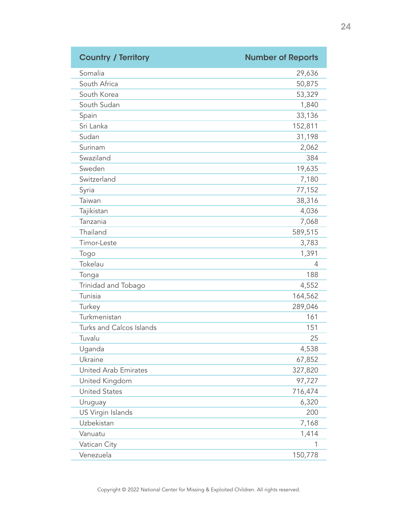| <b>Country / Territory</b>  | <b>Number of Reports</b> |
|-----------------------------|--------------------------|
| Somalia                     | 29,636                   |
| South Africa                | 50,875                   |
| South Korea                 | 53,329                   |
| South Sudan                 | 1,840                    |
| Spain                       | 33,136                   |
| Sri Lanka                   | 152,811                  |
| Sudan                       | 31,198                   |
| Surinam                     | 2,062                    |
| Swaziland                   | 384                      |
| Sweden                      | 19,635                   |
| Switzerland                 | 7,180                    |
| Syria                       | 77,152                   |
| Taiwan                      | 38,316                   |
| Tajikistan                  | 4,036                    |
| Tanzania                    | 7,068                    |
| Thailand                    | 589,515                  |
| Timor-Leste                 | 3,783                    |
| Togo                        | 1,391                    |
| Tokelau                     | 4                        |
| Tonga                       | 188                      |
| Trinidad and Tobago         | 4,552                    |
| Tunisia                     | 164,562                  |
| Turkey                      | 289,046                  |
| Turkmenistan                | 161                      |
| Turks and Calcos Islands    | 151                      |
| Tuvalu                      | 25                       |
| Uganda                      | 4,538                    |
| Ukraine                     | 67,852                   |
| <b>United Arab Emirates</b> | 327,820                  |
| United Kingdom              | 97,727                   |
| <b>United States</b>        | 716,474                  |
| Uruguay                     | 6,320                    |
| US Virgin Islands           | 200                      |
| Uzbekistan                  | 7,168                    |
| Vanuatu                     | 1,414                    |
| Vatican City                | 1                        |
| Venezuela                   | 150,778                  |